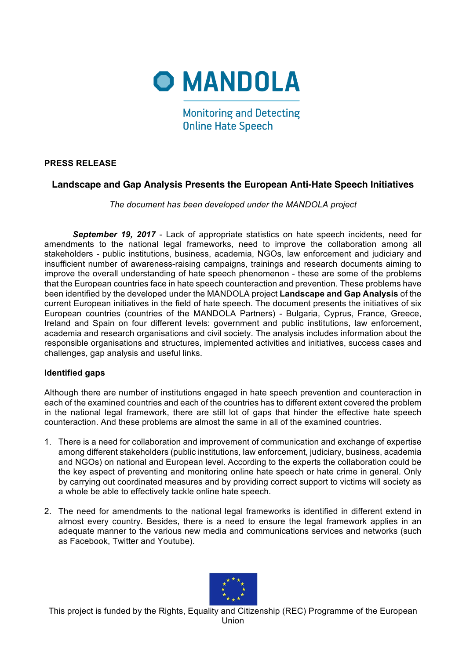

**Monitoring and Detecting Online Hate Speech** 

## **PRESS RELEASE**

## **Landscape and Gap Analysis Presents the European Anti-Hate Speech Initiatives**

*The document has been developed under the MANDOLA project*

*September 19, 2017* - Lack of appropriate statistics on hate speech incidents, need for amendments to the national legal frameworks, need to improve the collaboration among all stakeholders - public institutions, business, academia, NGOs, law enforcement and judiciary and insufficient number of awareness-raising campaigns, trainings and research documents aiming to improve the overall understanding of hate speech phenomenon - these are some of the problems that the European countries face in hate speech counteraction and prevention. These problems have been identified by the developed under the MANDOLA project **Landscape and Gap Analysis** of the current European initiatives in the field of hate speech. The document presents the initiatives of six European countries (countries of the MANDOLA Partners) - Bulgaria, Cyprus, France, Greece, Ireland and Spain on four different levels: government and public institutions, law enforcement, academia and research organisations and civil society. The analysis includes information about the responsible organisations and structures, implemented activities and initiatives, success cases and challenges, gap analysis and useful links.

## **Identified gaps**

Although there are number of institutions engaged in hate speech prevention and counteraction in each of the examined countries and each of the countries has to different extent covered the problem in the national legal framework, there are still lot of gaps that hinder the effective hate speech counteraction. And these problems are almost the same in all of the examined countries.

- 1. There is a need for collaboration and improvement of communication and exchange of expertise among different stakeholders (public institutions, law enforcement, judiciary, business, academia and NGOs) on national and European level. According to the experts the collaboration could be the key aspect of preventing and monitoring online hate speech or hate crime in general. Only by carrying out coordinated measures and by providing correct support to victims will society as a whole be able to effectively tackle online hate speech.
- 2. The need for amendments to the national legal frameworks is identified in different extend in almost every country. Besides, there is a need to ensure the legal framework applies in an adequate manner to the various new media and communications services and networks (such as Facebook, Twitter and Youtube).



This project is funded by the Rights, Equality and Citizenship (REC) Programme of the European Union